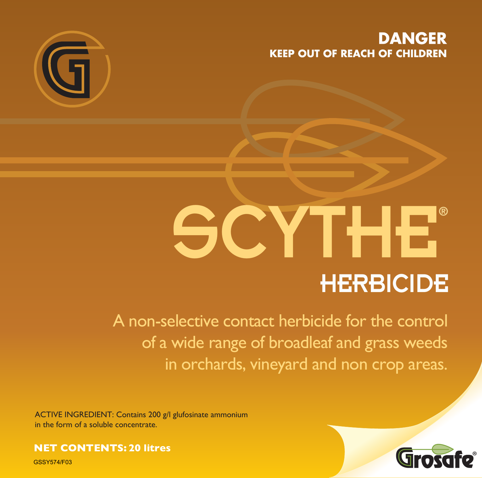# **DANGER KEEP OUT OF REACH OF CHILDREN**



# SCYTHE **HERBICIDE**

A non-selective contact herbicide for the control of a wide range of broadleaf and grass weeds in orchards, vineyard and non crop areas.

ACTIVE INGREDIENT: Contains 200 g/l glufosinate ammonium in the form of a soluble concentrate.

## **NET CONTENTS: 20 litres**

GSSY574/F03